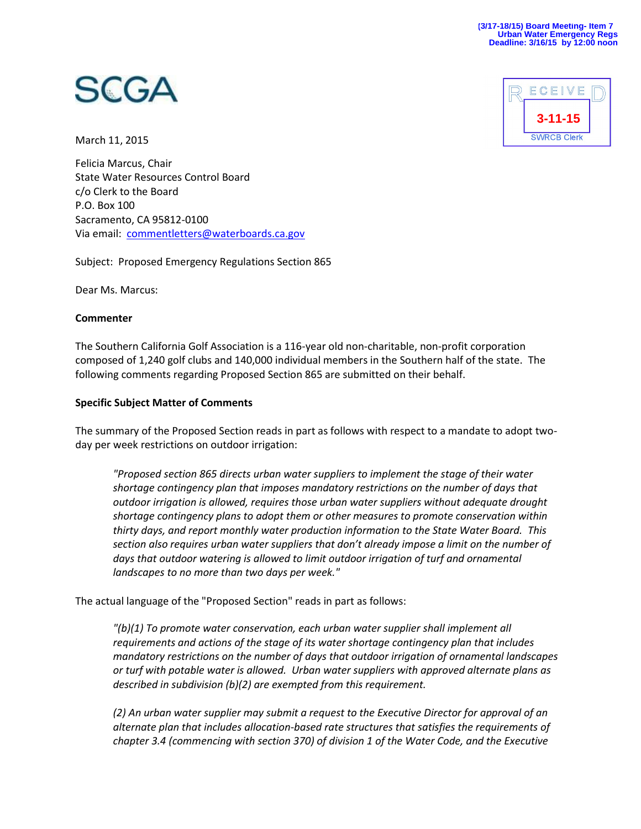

March 11, 2015

Felicia Marcus, Chair State Water Resources Control Board c/o Clerk to the Board P.O. Box 100 Sacramento, CA 95812-0100 Via email: [commentletters@waterboards.ca.gov](mailto:commentletters@waterboards.ca.gov)

Subject: Proposed Emergency Regulations Section 865

Dear Ms. Marcus:

#### **Commenter**

The Southern California Golf Association is a 116-year old non-charitable, non-profit corporation composed of 1,240 golf clubs and 140,000 individual members in the Southern half of the state. The following comments regarding Proposed Section 865 are submitted on their behalf.

# **Specific Subject Matter of Comments**

The summary of the Proposed Section reads in part as follows with respect to a mandate to adopt twoday per week restrictions on outdoor irrigation:

*"Proposed section 865 directs urban water suppliers to implement the stage of their water shortage contingency plan that imposes mandatory restrictions on the number of days that outdoor irrigation is allowed, requires those urban water suppliers without adequate drought shortage contingency plans to adopt them or other measures to promote conservation within thirty days, and report monthly water production information to the State Water Board. This section also requires urban water suppliers that don't already impose a limit on the number of days that outdoor watering is allowed to limit outdoor irrigation of turf and ornamental landscapes to no more than two days per week."*

The actual language of the "Proposed Section" reads in part as follows:

*"(b)(1) To promote water conservation, each urban water supplier shall implement all requirements and actions of the stage of its water shortage contingency plan that includes mandatory restrictions on the number of days that outdoor irrigation of ornamental landscapes or turf with potable water is allowed. Urban water suppliers with approved alternate plans as described in subdivision (b)(2) are exempted from this requirement.* 

*(2) An urban water supplier may submit a request to the Executive Director for approval of an alternate plan that includes allocation-based rate structures that satisfies the requirements of chapter 3.4 (commencing with section 370) of division 1 of the Water Code, and the Executive*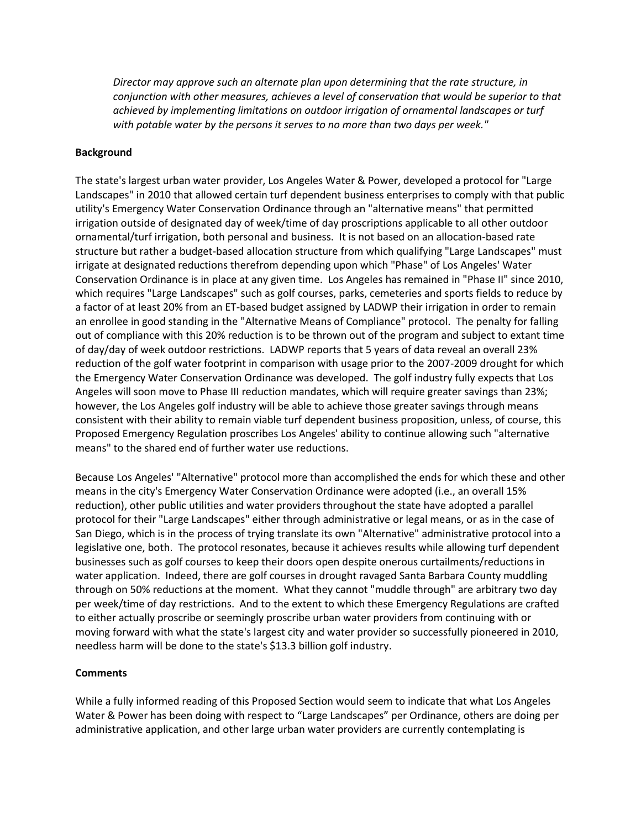*Director may approve such an alternate plan upon determining that the rate structure, in conjunction with other measures, achieves a level of conservation that would be superior to that achieved by implementing limitations on outdoor irrigation of ornamental landscapes or turf with potable water by the persons it serves to no more than two days per week."*

## **Background**

The state's largest urban water provider, Los Angeles Water & Power, developed a protocol for "Large Landscapes" in 2010 that allowed certain turf dependent business enterprises to comply with that public utility's Emergency Water Conservation Ordinance through an "alternative means" that permitted irrigation outside of designated day of week/time of day proscriptions applicable to all other outdoor ornamental/turf irrigation, both personal and business. It is not based on an allocation-based rate structure but rather a budget-based allocation structure from which qualifying "Large Landscapes" must irrigate at designated reductions therefrom depending upon which "Phase" of Los Angeles' Water Conservation Ordinance is in place at any given time. Los Angeles has remained in "Phase II" since 2010, which requires "Large Landscapes" such as golf courses, parks, cemeteries and sports fields to reduce by a factor of at least 20% from an ET-based budget assigned by LADWP their irrigation in order to remain an enrollee in good standing in the "Alternative Means of Compliance" protocol. The penalty for falling out of compliance with this 20% reduction is to be thrown out of the program and subject to extant time of day/day of week outdoor restrictions. LADWP reports that 5 years of data reveal an overall 23% reduction of the golf water footprint in comparison with usage prior to the 2007-2009 drought for which the Emergency Water Conservation Ordinance was developed. The golf industry fully expects that Los Angeles will soon move to Phase III reduction mandates, which will require greater savings than 23%; however, the Los Angeles golf industry will be able to achieve those greater savings through means consistent with their ability to remain viable turf dependent business proposition, unless, of course, this Proposed Emergency Regulation proscribes Los Angeles' ability to continue allowing such "alternative means" to the shared end of further water use reductions.

Because Los Angeles' "Alternative" protocol more than accomplished the ends for which these and other means in the city's Emergency Water Conservation Ordinance were adopted (i.e., an overall 15% reduction), other public utilities and water providers throughout the state have adopted a parallel protocol for their "Large Landscapes" either through administrative or legal means, or as in the case of San Diego, which is in the process of trying translate its own "Alternative" administrative protocol into a legislative one, both. The protocol resonates, because it achieves results while allowing turf dependent businesses such as golf courses to keep their doors open despite onerous curtailments/reductions in water application. Indeed, there are golf courses in drought ravaged Santa Barbara County muddling through on 50% reductions at the moment. What they cannot "muddle through" are arbitrary two day per week/time of day restrictions. And to the extent to which these Emergency Regulations are crafted to either actually proscribe or seemingly proscribe urban water providers from continuing with or moving forward with what the state's largest city and water provider so successfully pioneered in 2010, needless harm will be done to the state's \$13.3 billion golf industry.

#### **Comments**

While a fully informed reading of this Proposed Section would seem to indicate that what Los Angeles Water & Power has been doing with respect to "Large Landscapes" per Ordinance, others are doing per administrative application, and other large urban water providers are currently contemplating is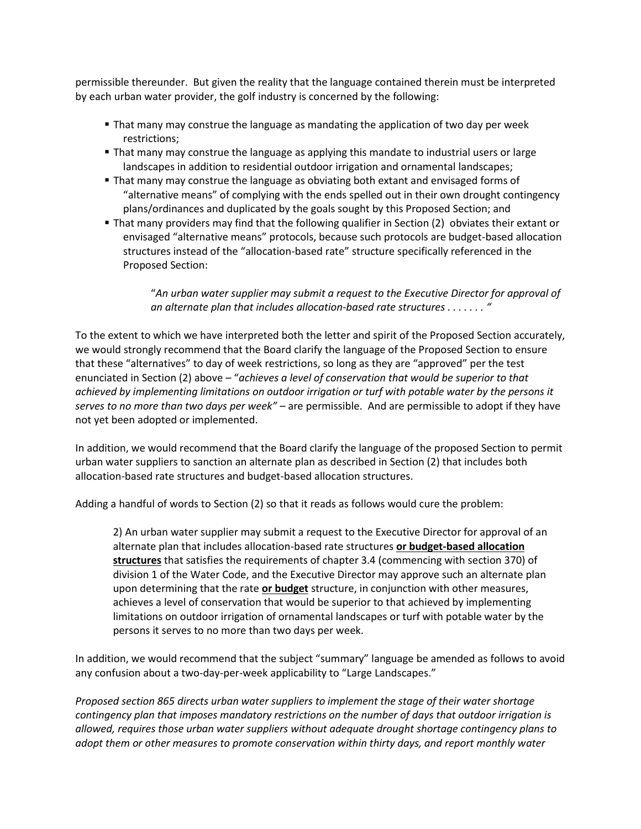permissible thereunder. But given the reality that the language contained therein must be interpreted by each urban water provider, the golf industry is concerned by the following:

- That many may construe the language as mandating the application of two day per week restrictions;
- **That many may construe the language as applying this mandate to industrial users or large** landscapes in addition to residential outdoor irrigation and ornamental landscapes;
- That many may construe the language as obviating both extant and envisaged forms of "alternative means" of complying with the ends spelled out in their own drought contingency plans/ordinances and duplicated by the goals sought by this Proposed Section; and
- That many providers may find that the following qualifier in Section (2) obviates their extant or envisaged "alternative means" protocols, because such protocols are budget-based allocation structures instead of the "allocation-based rate" structure specifically referenced in the Proposed Section:

"*An urban water supplier may submit a request to the Executive Director for approval of an alternate plan that includes allocation-based rate structures . . . . . . . "*

To the extent to which we have interpreted both the letter and spirit of the Proposed Section accurately, we would strongly recommend that the Board clarify the language of the Proposed Section to ensure that these "alternatives" to day of week restrictions, so long as they are "approved" per the test enunciated in Section (2) above – "*achieves a level of conservation that would be superior to that achieved by implementing limitations on outdoor irrigation or turf with potable water by the persons it serves to no more than two days per week" –* are permissible. And are permissible to adopt if they have not yet been adopted or implemented.

In addition, we would recommend that the Board clarify the language of the proposed Section to permit urban water suppliers to sanction an alternate plan as described in Section (2) that includes both allocation-based rate structures and budget-based allocation structures.

Adding a handful of words to Section (2) so that it reads as follows would cure the problem:

2) An urban water supplier may submit a request to the Executive Director for approval of an alternate plan that includes allocation-based rate structures **or budget-based allocation structures** that satisfies the requirements of chapter 3.4 (commencing with section 370) of division 1 of the Water Code, and the Executive Director may approve such an alternate plan upon determining that the rate **or budget** structure, in conjunction with other measures, achieves a level of conservation that would be superior to that achieved by implementing limitations on outdoor irrigation of ornamental landscapes or turf with potable water by the persons it serves to no more than two days per week.

In addition, we would recommend that the subject "summary" language be amended as follows to avoid any confusion about a two-day-per-week applicability to "Large Landscapes."

*Proposed section 865 directs urban water suppliers to implement the stage of their water shortage contingency plan that imposes mandatory restrictions on the number of days that outdoor irrigation is allowed, requires those urban water suppliers without adequate drought shortage contingency plans to adopt them or other measures to promote conservation within thirty days, and report monthly water*